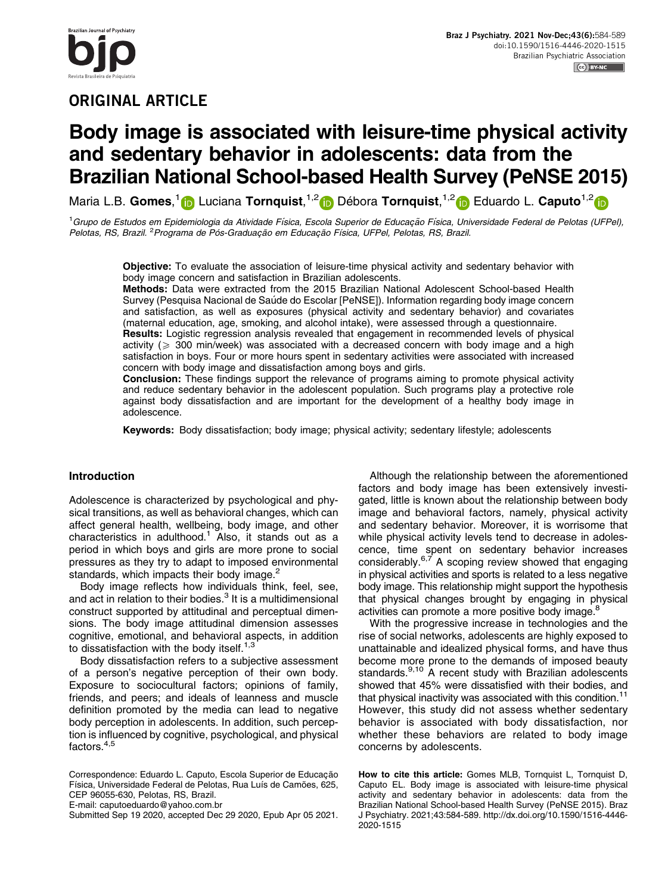## ORIGINAL ARTICLE

# Body image is associated with leisure-time physical activity and sedentary behavior in adolescents: data from the Brazilian National School-based Health Survey (PeNSE 2015)

Maria L.B. Gomes,<sup>1</sup> D Luciana Tornquist,<sup>1,2</sup> D Débora Tornquist,<sup>1,2</sup> D Eduardo L. Caputo<sup>1,2</sup> D

<sup>1</sup>Grupo de Estudos em Epidemiologia da Atividade Física, Escola Superior de Educação Física, Universidade Federal de Pelotas (UFPel), Pelotas, RS, Brazil. <sup>2</sup> Programa de Pós-Graduação em Educação Física, UFPel, Pelotas, RS, Brazil.

Objective: To evaluate the association of leisure-time physical activity and sedentary behavior with body image concern and satisfaction in Brazilian adolescents.

Methods: Data were extracted from the 2015 Brazilian National Adolescent School-based Health Survey (Pesquisa Nacional de Saúde do Escolar [PeNSE]). Information regarding body image concern and satisfaction, as well as exposures (physical activity and sedentary behavior) and covariates (maternal education, age, smoking, and alcohol intake), were assessed through a questionnaire. Results: Logistic regression analysis revealed that engagement in recommended levels of physical activity ( $\geqslant$  300 min/week) was associated with a decreased concern with body image and a high satisfaction in boys. Four or more hours spent in sedentary activities were associated with increased concern with body image and dissatisfaction among boys and girls.

Conclusion: These findings support the relevance of programs aiming to promote physical activity and reduce sedentary behavior in the adolescent population. Such programs play a protective role against body dissatisfaction and are important for the development of a healthy body image in adolescence.

Keywords: Body dissatisfaction; body image; physical activity; sedentary lifestyle; adolescents

### Introduction

Adolescence is characterized by psychological and physical transitions, as well as behavioral changes, which can affect general health, wellbeing, body image, and other characteristics in adulthood[.1](#page-5-0) Also, it stands out as a period in which boys and girls are more prone to social pressures as they try to adapt to imposed environmental standards, which impacts their body image.<sup>[2](#page-5-0)</sup>

Body image reflects how individuals think, feel, see, and act in relation to their bodies.<sup>3</sup> It is a multidimensional construct supported by attitudinal and perceptual dimensions. The body image attitudinal dimension assesses cognitive, emotional, and behavioral aspects, in addition to dissatisfaction with the body itself. $1,3$ 

Body dissatisfaction refers to a subjective assessment of a person's negative perception of their own body. Exposure to sociocultural factors; opinions of family, friends, and peers; and ideals of leanness and muscle definition promoted by the media can lead to negative body perception in adolescents. In addition, such perception is influenced by cognitive, psychological, and physical factors.<sup>4,5</sup>

E-mail: [caputoeduardo@yahoo.com.br](mailto:caputoeduardo@yahoo.com.br)

Submitted Sep 19 2020, accepted Dec 29 2020, Epub Apr 05 2021.

Although the relationship between the aforementioned factors and body image has been extensively investigated, little is known about the relationship between body image and behavioral factors, namely, physical activity and sedentary behavior. Moreover, it is worrisome that while physical activity levels tend to decrease in adolescence, time spent on sedentary behavior increases considerably. $6,7$  A scoping review showed that engaging in physical activities and sports is related to a less negative body image. This relationship might support the hypothesis that physical changes brought by engaging in physical activities can promote a more positive body image.<sup>[8](#page-5-0)</sup>

With the progressive increase in technologies and the rise of social networks, adolescents are highly exposed to unattainable and idealized physical forms, and have thus become more prone to the demands of imposed beauty standards.<sup>9,10</sup> A recent study with Brazilian adolescents showed that 45% were dissatisfied with their bodies, and that physical inactivity was associated with this condition.<sup>[11](#page-5-0)</sup> However, this study did not assess whether sedentary behavior is associated with body dissatisfaction, nor whether these behaviors are related to body image concerns by adolescents.

How to cite this article: Gomes MLB, Tornquist L, Tornquist D, Caputo EL. Body image is associated with leisure-time physical activity and sedentary behavior in adolescents: data from the Brazilian National School-based Health Survey (PeNSE 2015). Braz J Psychiatry. 2021;43:584-589. [http://dx.doi.org/10.1590/1516-4446-](http://dx.doi.org/10.1590/1516-4446-2020-1515) [2020-1515](http://dx.doi.org/10.1590/1516-4446-2020-1515)

المنازعية المسيرية المسيرية المسيرية<br>المسيرية المسيرية المسيرية المسيرية المسيرية المسيرية المسيرية

Correspondence: Eduardo L. Caputo, Escola Superior de Educação Física, Universidade Federal de Pelotas, Rua Luís de Camões, 625, CEP 96055-630, Pelotas, RS, Brazil.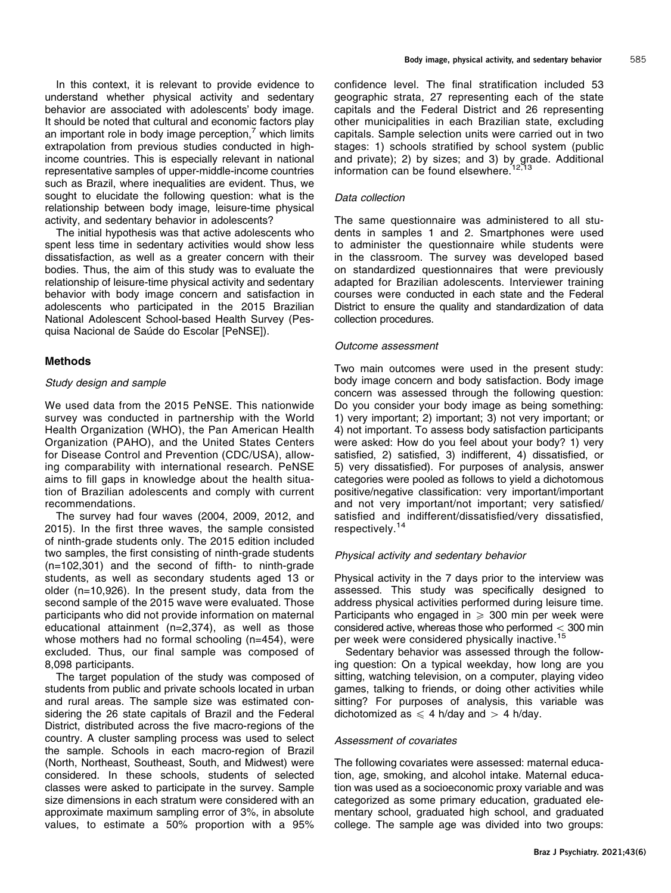In this context, it is relevant to provide evidence to understand whether physical activity and sedentary behavior are associated with adolescents' body image. It should be noted that cultural and economic factors play an important role in body image perception, $<sup>7</sup>$  which limits</sup> extrapolation from previous studies conducted in highincome countries. This is especially relevant in national representative samples of upper-middle-income countries such as Brazil, where inequalities are evident. Thus, we sought to elucidate the following question: what is the relationship between body image, leisure-time physical activity, and sedentary behavior in adolescents?

The initial hypothesis was that active adolescents who spent less time in sedentary activities would show less dissatisfaction, as well as a greater concern with their bodies. Thus, the aim of this study was to evaluate the relationship of leisure-time physical activity and sedentary behavior with body image concern and satisfaction in adolescents who participated in the 2015 Brazilian National Adolescent School-based Health Survey (Pesquisa Nacional de Saúde do Escolar [PeNSE]).

#### Methods

#### Study design and sample

We used data from the 2015 PeNSE. This nationwide survey was conducted in partnership with the World Health Organization (WHO), the Pan American Health Organization (PAHO), and the United States Centers for Disease Control and Prevention (CDC/USA), allowing comparability with international research. PeNSE aims to fill gaps in knowledge about the health situation of Brazilian adolescents and comply with current recommendations.

The survey had four waves (2004, 2009, 2012, and 2015). In the first three waves, the sample consisted of ninth-grade students only. The 2015 edition included two samples, the first consisting of ninth-grade students (n=102,301) and the second of fifth- to ninth-grade students, as well as secondary students aged 13 or older (n=10,926). In the present study, data from the second sample of the 2015 wave were evaluated. Those participants who did not provide information on maternal educational attainment (n=2,374), as well as those whose mothers had no formal schooling (n=454), were excluded. Thus, our final sample was composed of 8,098 participants.

The target population of the study was composed of students from public and private schools located in urban and rural areas. The sample size was estimated considering the 26 state capitals of Brazil and the Federal District, distributed across the five macro-regions of the country. A cluster sampling process was used to select the sample. Schools in each macro-region of Brazil (North, Northeast, Southeast, South, and Midwest) were considered. In these schools, students of selected classes were asked to participate in the survey. Sample size dimensions in each stratum were considered with an approximate maximum sampling error of 3%, in absolute values, to estimate a 50% proportion with a 95%

confidence level. The final stratification included 53 geographic strata, 27 representing each of the state capitals and the Federal District and 26 representing other municipalities in each Brazilian state, excluding capitals. Sample selection units were carried out in two stages: 1) schools stratified by school system (public and private); 2) by sizes; and 3) by grade. Additional information can be found elsewhere.<sup>[12,13](#page-5-0)</sup>

#### Data collection

The same questionnaire was administered to all students in samples 1 and 2. Smartphones were used to administer the questionnaire while students were in the classroom. The survey was developed based on standardized questionnaires that were previously adapted for Brazilian adolescents. Interviewer training courses were conducted in each state and the Federal District to ensure the quality and standardization of data collection procedures.

#### Outcome assessment

Two main outcomes were used in the present study: body image concern and body satisfaction. Body image concern was assessed through the following question: Do you consider your body image as being something: 1) very important; 2) important; 3) not very important; or 4) not important. To assess body satisfaction participants were asked: How do you feel about your body? 1) very satisfied, 2) satisfied, 3) indifferent, 4) dissatisfied, or 5) very dissatisfied). For purposes of analysis, answer categories were pooled as follows to yield a dichotomous positive/negative classification: very important/important and not very important/not important; very satisfied/ satisfied and indifferent/dissatisfied/very dissatisfied, respectively.[14](#page-5-0)

#### Physical activity and sedentary behavior

Physical activity in the 7 days prior to the interview was assessed. This study was specifically designed to address physical activities performed during leisure time. Participants who engaged in  $\ge$  300 min per week were considered active, whereas those who performed  $<$  300 min per week were considered physically inactive.<sup>[15](#page-5-0)</sup>

Sedentary behavior was assessed through the following question: On a typical weekday, how long are you sitting, watching television, on a computer, playing video games, talking to friends, or doing other activities while sitting? For purposes of analysis, this variable was dichotomized as  $\leq 4$  h/day and  $> 4$  h/day.

#### Assessment of covariates

The following covariates were assessed: maternal education, age, smoking, and alcohol intake. Maternal education was used as a socioeconomic proxy variable and was categorized as some primary education, graduated elementary school, graduated high school, and graduated college. The sample age was divided into two groups: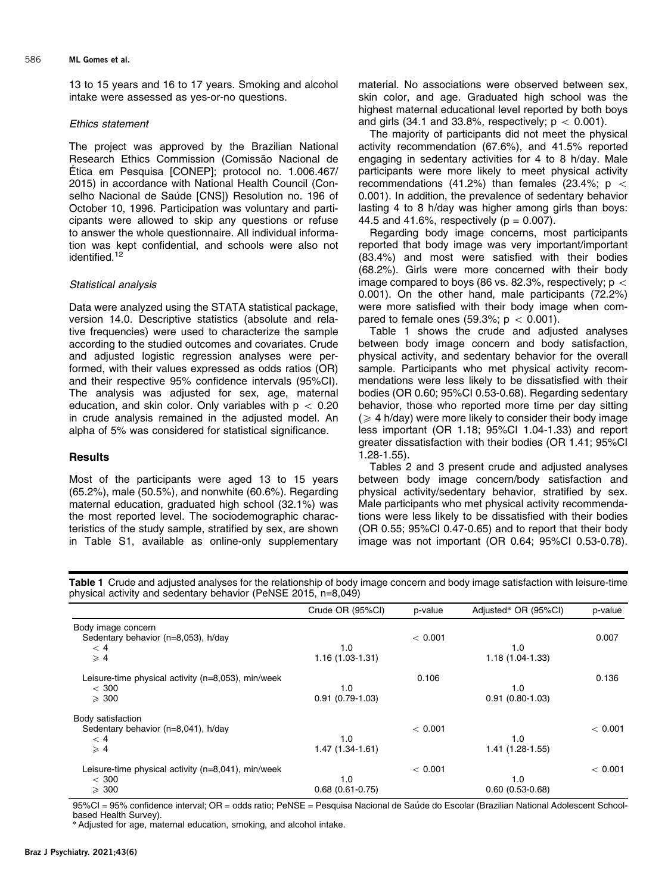13 to 15 years and 16 to 17 years. Smoking and alcohol intake were assessed as yes-or-no questions.

#### Ethics statement

The project was approved by the Brazilian National Research Ethics Commission (Comissão Nacional de Ética em Pesquisa [CONEP]; protocol no. 1.006.467/ 2015) in accordance with National Health Council (Conselho Nacional de Saúde [CNS]) Resolution no. 196 of October 10, 1996. Participation was voluntary and participants were allowed to skip any questions or refuse to answer the whole questionnaire. All individual information was kept confidential, and schools were also not identified.<sup>[12](#page-5-0)</sup>

#### Statistical analysis

Data were analyzed using the STATA statistical package, version 14.0. Descriptive statistics (absolute and relative frequencies) were used to characterize the sample according to the studied outcomes and covariates. Crude and adjusted logistic regression analyses were performed, with their values expressed as odds ratios (OR) and their respective 95% confidence intervals (95%CI). The analysis was adjusted for sex, age, maternal education, and skin color. Only variables with  $p < 0.20$ in crude analysis remained in the adjusted model. An alpha of 5% was considered for statistical significance.

#### **Results**

Most of the participants were aged 13 to 15 years (65.2%), male (50.5%), and nonwhite (60.6%). Regarding maternal education, graduated high school (32.1%) was the most reported level. The sociodemographic characteristics of the study sample, stratified by sex, are shown in Table S1, available as online-only supplementary material. No associations were observed between sex, skin color, and age. Graduated high school was the highest maternal educational level reported by both boys and girls (34.1 and 33.8%, respectively;  $p < 0.001$ ).

The majority of participants did not meet the physical activity recommendation (67.6%), and 41.5% reported engaging in sedentary activities for 4 to 8 h/day. Male participants were more likely to meet physical activity recommendations (41.2%) than females (23.4%;  $p <$ 0.001). In addition, the prevalence of sedentary behavior lasting 4 to 8 h/day was higher among girls than boys: 44.5 and 41.6%, respectively ( $p = 0.007$ ).

Regarding body image concerns, most participants reported that body image was very important/important (83.4%) and most were satisfied with their bodies (68.2%). Girls were more concerned with their body image compared to boys (86 vs. 82.3%, respectively;  $p <$ 0.001). On the other hand, male participants (72.2%) were more satisfied with their body image when compared to female ones (59.3%;  $p < 0.001$ ).

Table 1 shows the crude and adjusted analyses between body image concern and body satisfaction, physical activity, and sedentary behavior for the overall sample. Participants who met physical activity recommendations were less likely to be dissatisfied with their bodies (OR 0.60; 95%CI 0.53-0.68). Regarding sedentary behavior, those who reported more time per day sitting  $($   $\geq$  4 h/day) were more likely to consider their body image less important (OR 1.18; 95%CI 1.04-1.33) and report greater dissatisfaction with their bodies (OR 1.41; 95%CI 1.28-1.55).

[Tables 2](#page-3-0) and [3](#page-3-0) present crude and adjusted analyses between body image concern/body satisfaction and physical activity/sedentary behavior, stratified by sex. Male participants who met physical activity recommendations were less likely to be dissatisfied with their bodies (OR 0.55; 95%CI 0.47-0.65) and to report that their body image was not important (OR 0.64; 95%CI 0.53-0.78).

Table 1 Crude and adjusted analyses for the relationship of body image concern and body image satisfaction with leisure-time physical activity and sedentary behavior (PeNSE 2015, n=8,049)

|                                                       | Crude OR (95%CI)  | p-value | Adjusted* OR (95%CI) | p-value |
|-------------------------------------------------------|-------------------|---------|----------------------|---------|
| Body image concern                                    |                   |         |                      |         |
| Sedentary behavior (n=8,053), h/day                   |                   | < 0.001 |                      | 0.007   |
| < 4                                                   | 1.0               |         | 1.0                  |         |
| $\geqslant 4$                                         | $1.16(1.03-1.31)$ |         | 1.18 (1.04-1.33)     |         |
| Leisure-time physical activity (n=8,053), min/week    |                   | 0.106   |                      | 0.136   |
| $<$ 300                                               | 1.0               |         | 1.0                  |         |
| $\geqslant$ 300                                       | $0.91(0.79-1.03)$ |         | $0.91(0.80-1.03)$    |         |
| Body satisfaction                                     |                   |         |                      |         |
| Sedentary behavior (n=8,041), h/day                   |                   | < 0.001 |                      | < 0.001 |
| < 4                                                   | 1.0               |         | 1.0                  |         |
| $\geqslant$ 4                                         | $1.47(1.34-1.61)$ |         | 1.41 (1.28-1.55)     |         |
| Leisure-time physical activity $(n=8,041)$ , min/week |                   | < 0.001 |                      | < 0.001 |
| $<$ 300                                               | 1.0               |         | 1.0                  |         |
| $\geqslant$ 300                                       | $0.68(0.61-0.75)$ |         | $0.60(0.53 - 0.68)$  |         |

95%CI = 95% confidence interval; OR = odds ratio; PeNSE = Pesquisa Nacional de Saúde do Escolar (Brazilian National Adolescent Schoolbased Health Survey).

\* Adjusted for age, maternal education, smoking, and alcohol intake.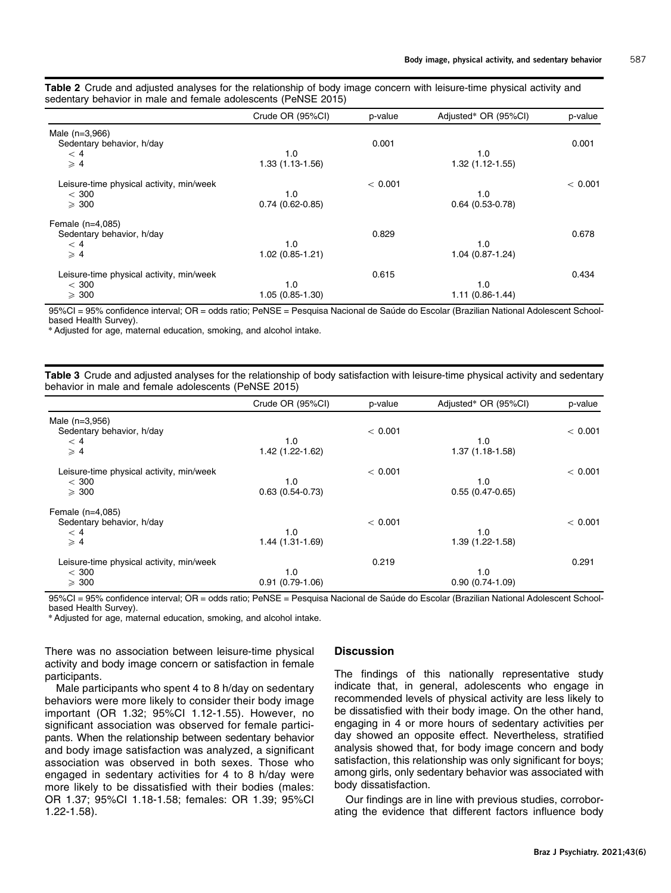<span id="page-3-0"></span>

|  |  |                                                                |  |  |  | Table 2 Crude and adjusted analyses for the relationship of body image concern with leisure-time physical activity and |  |  |
|--|--|----------------------------------------------------------------|--|--|--|------------------------------------------------------------------------------------------------------------------------|--|--|
|  |  | sedentary behavior in male and female adolescents (PeNSE 2015) |  |  |  |                                                                                                                        |  |  |

|                                          | Crude OR (95%CI)    | p-value | Adjusted* OR (95%CI) | p-value |
|------------------------------------------|---------------------|---------|----------------------|---------|
| Male (n=3,966)                           |                     |         |                      |         |
| Sedentary behavior, h/day                |                     | 0.001   |                      | 0.001   |
| < 4                                      | 1.0                 |         | 1.0                  |         |
| $\geqslant$ 4                            | $1.33(1.13-1.56)$   |         | $1.32(1.12-1.55)$    |         |
| Leisure-time physical activity, min/week |                     | < 0.001 |                      | < 0.001 |
| $<$ 300                                  | 1.0                 |         | 1.0                  |         |
| $\geqslant$ 300                          | $0.74(0.62-0.85)$   |         | $0.64(0.53-0.78)$    |         |
| Female (n=4,085)                         |                     |         |                      |         |
| Sedentary behavior, h/day                |                     | 0.829   |                      | 0.678   |
| < 4                                      | 1.0                 |         | 1.0                  |         |
| $\geqslant$ 4                            | $1.02(0.85 - 1.21)$ |         | $1.04(0.87-1.24)$    |         |
| Leisure-time physical activity, min/week |                     | 0.615   |                      | 0.434   |
| $<$ 300                                  | 1.0                 |         | 1.0                  |         |
| $\geqslant$ 300                          | $1.05(0.85 - 1.30)$ |         | $1.11(0.86 - 1.44)$  |         |

95%CI = 95% confidence interval; OR = odds ratio; PeNSE = Pesquisa Nacional de Saúde do Escolar (Brazilian National Adolescent Schoolbased Health Survey).

\*Adjusted for age, maternal education, smoking, and alcohol intake.

|  |  | Table 3 Crude and adjusted analyses for the relationship of body satisfaction with leisure-time physical activity and sedentary |  |  |  |  |
|--|--|---------------------------------------------------------------------------------------------------------------------------------|--|--|--|--|
|  |  | behavior in male and female adolescents (PeNSE 2015)                                                                            |  |  |  |  |

|                                          | Crude OR (95%CI)    | p-value | Adjusted* OR (95%CI) | p-value |
|------------------------------------------|---------------------|---------|----------------------|---------|
| Male $(n=3,956)$                         |                     |         |                      |         |
| Sedentary behavior, h/day                |                     | < 0.001 |                      | < 0.001 |
| < 4                                      | 1.0                 |         | 1.0                  |         |
| $\geqslant$ 4                            | 1.42 (1.22-1.62)    |         | $1.37(1.18-1.58)$    |         |
| Leisure-time physical activity, min/week |                     | < 0.001 |                      | < 0.001 |
| $<$ 300                                  | 1.0                 |         | 1.0                  |         |
| $\geqslant$ 300                          | $0.63(0.54 - 0.73)$ |         | $0.55(0.47-0.65)$    |         |
| Female $(n=4,085)$                       |                     |         |                      |         |
| Sedentary behavior, h/day                |                     | < 0.001 |                      | < 0.001 |
| < 4                                      | 1.0                 |         | 1.0                  |         |
| $\geqslant$ 4                            | 1.44 (1.31-1.69)    |         | 1.39 (1.22-1.58)     |         |
| Leisure-time physical activity, min/week |                     | 0.219   |                      | 0.291   |
| $<$ 300                                  | 1.0                 |         | 1.0                  |         |
| $\geqslant$ 300                          | $0.91(0.79-1.06)$   |         | $0.90(0.74-1.09)$    |         |

95%CI = 95% confidence interval; OR = odds ratio; PeNSE = Pesquisa Nacional de Saúde do Escolar (Brazilian National Adolescent Schoolbased Health Survey).

\*Adjusted for age, maternal education, smoking, and alcohol intake.

There was no association between leisure-time physical activity and body image concern or satisfaction in female participants.

Male participants who spent 4 to 8 h/day on sedentary behaviors were more likely to consider their body image important (OR 1.32; 95%CI 1.12-1.55). However, no significant association was observed for female participants. When the relationship between sedentary behavior and body image satisfaction was analyzed, a significant association was observed in both sexes. Those who engaged in sedentary activities for 4 to 8 h/day were more likely to be dissatisfied with their bodies (males: OR 1.37; 95%CI 1.18-1.58; females: OR 1.39; 95%CI 1.22-1.58).

#### **Discussion**

The findings of this nationally representative study indicate that, in general, adolescents who engage in recommended levels of physical activity are less likely to be dissatisfied with their body image. On the other hand, engaging in 4 or more hours of sedentary activities per day showed an opposite effect. Nevertheless, stratified analysis showed that, for body image concern and body satisfaction, this relationship was only significant for boys; among girls, only sedentary behavior was associated with body dissatisfaction.

Our findings are in line with previous studies, corroborating the evidence that different factors influence body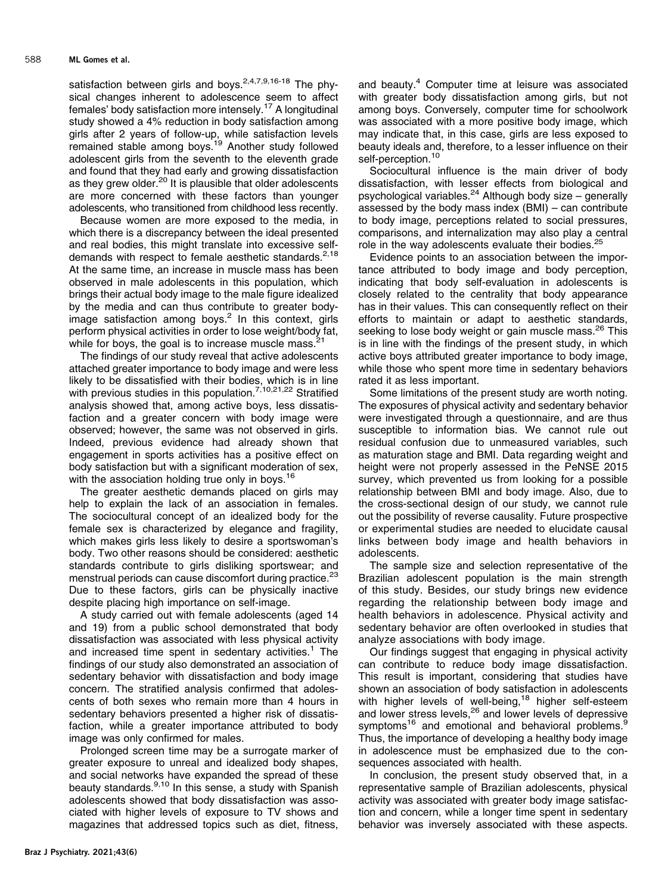satisfaction between girls and boys.<sup>[2,4,7,9,16](#page-5-0)-[18](#page-5-0)</sup> The physical changes inherent to adolescence seem to affect females' body satisfaction more intensely[.17](#page-5-0) A longitudinal study showed a 4% reduction in body satisfaction among girls after 2 years of follow-up, while satisfaction levels remained stable among boys.[19](#page-5-0) Another study followed adolescent girls from the seventh to the eleventh grade and found that they had early and growing dissatisfaction as they grew older.<sup>[20](#page-5-0)</sup> It is plausible that older adolescents are more concerned with these factors than younger adolescents, who transitioned from childhood less recently.

Because women are more exposed to the media, in which there is a discrepancy between the ideal presented and real bodies, this might translate into excessive self-demands with respect to female aesthetic standards.<sup>[2,18](#page-5-0)</sup> At the same time, an increase in muscle mass has been observed in male adolescents in this population, which brings their actual body image to the male figure idealized by the media and can thus contribute to greater bodyimage satisfaction among boys. $2$  In this context, girls perform physical activities in order to lose weight/body fat, while for boys, the goal is to increase muscle mass.<sup>[21](#page-5-0)</sup>

The findings of our study reveal that active adolescents attached greater importance to body image and were less likely to be dissatisfied with their bodies, which is in line with previous studies in this population.<sup>[7,10,21,22](#page-5-0)</sup> Stratified analysis showed that, among active boys, less dissatisfaction and a greater concern with body image were observed; however, the same was not observed in girls. Indeed, previous evidence had already shown that engagement in sports activities has a positive effect on body satisfaction but with a significant moderation of sex, with the association holding true only in boys.<sup>[16](#page-5-0)</sup>

The greater aesthetic demands placed on girls may help to explain the lack of an association in females. The sociocultural concept of an idealized body for the female sex is characterized by elegance and fragility, which makes girls less likely to desire a sportswoman's body. Two other reasons should be considered: aesthetic standards contribute to girls disliking sportswear; and menstrual periods can cause discomfort during practice.<sup>[23](#page-5-0)</sup> Due to these factors, girls can be physically inactive despite placing high importance on self-image.

A study carried out with female adolescents (aged 14 and 19) from a public school demonstrated that body dissatisfaction was associated with less physical activity and increased time spent in sedentary activities.<sup>[1](#page-5-0)</sup> The findings of our study also demonstrated an association of sedentary behavior with dissatisfaction and body image concern. The stratified analysis confirmed that adolescents of both sexes who remain more than 4 hours in sedentary behaviors presented a higher risk of dissatisfaction, while a greater importance attributed to body image was only confirmed for males.

Prolonged screen time may be a surrogate marker of greater exposure to unreal and idealized body shapes, and social networks have expanded the spread of these beauty standards.<sup>[9,10](#page-5-0)</sup> In this sense, a study with Spanish adolescents showed that body dissatisfaction was associated with higher levels of exposure to TV shows and magazines that addressed topics such as diet, fitness, and beauty[.4](#page-5-0) Computer time at leisure was associated with greater body dissatisfaction among girls, but not among boys. Conversely, computer time for schoolwork was associated with a more positive body image, which may indicate that, in this case, girls are less exposed to beauty ideals and, therefore, to a lesser influence on their self-perception.<sup>[10](#page-5-0)</sup>

Sociocultural influence is the main driver of body dissatisfaction, with lesser effects from biological and psychological variables.[24](#page-5-0) Although body size – generally assessed by the body mass index (BMI) – can contribute to body image, perceptions related to social pressures, comparisons, and internalization may also play a central role in the way adolescents evaluate their bodies.<sup>[25](#page-5-0)</sup>

Evidence points to an association between the importance attributed to body image and body perception, indicating that body self-evaluation in adolescents is closely related to the centrality that body appearance has in their values. This can consequently reflect on their efforts to maintain or adapt to aesthetic standards, seeking to lose body weight or gain muscle mass.<sup>[26](#page-5-0)</sup> This is in line with the findings of the present study, in which active boys attributed greater importance to body image, while those who spent more time in sedentary behaviors rated it as less important.

Some limitations of the present study are worth noting. The exposures of physical activity and sedentary behavior were investigated through a questionnaire, and are thus susceptible to information bias. We cannot rule out residual confusion due to unmeasured variables, such as maturation stage and BMI. Data regarding weight and height were not properly assessed in the PeNSE 2015 survey, which prevented us from looking for a possible relationship between BMI and body image. Also, due to the cross-sectional design of our study, we cannot rule out the possibility of reverse causality. Future prospective or experimental studies are needed to elucidate causal links between body image and health behaviors in adolescents.

The sample size and selection representative of the Brazilian adolescent population is the main strength of this study. Besides, our study brings new evidence regarding the relationship between body image and health behaviors in adolescence. Physical activity and sedentary behavior are often overlooked in studies that analyze associations with body image.

Our findings suggest that engaging in physical activity can contribute to reduce body image dissatisfaction. This result is important, considering that studies have shown an association of body satisfaction in adolescents with higher levels of well-being,<sup>18</sup> higher self-esteem and lower stress levels,<sup>[26](#page-5-0)</sup> and lower levels of depressive symptoms<sup>16</sup> and emotional and behavioral problems.<sup>9</sup> Thus, the importance of developing a healthy body image in adolescence must be emphasized due to the consequences associated with health.

In conclusion, the present study observed that, in a representative sample of Brazilian adolescents, physical activity was associated with greater body image satisfaction and concern, while a longer time spent in sedentary behavior was inversely associated with these aspects.